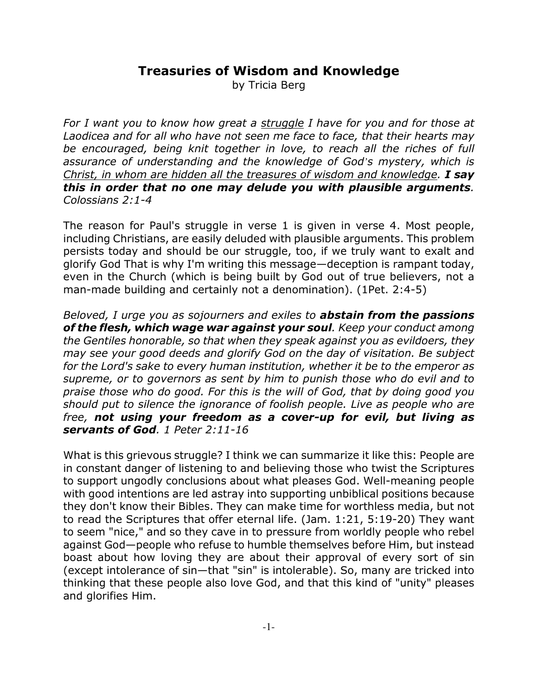## **Treasuries of Wisdom and Knowledge**

by Tricia Berg

*For I want you to know how great a struggle I have for you and for those at Laodicea and for all who have not seen me face to face, that their hearts may be encouraged, being knit together in love, to reach all the riches of full assurance of understanding and the knowledge of God's mystery, which is Christ, in whom are hidden all the treasures of wisdom and knowledge. I say this in order that no one may delude you with plausible arguments. Colossians 2:1-4*

The reason for Paul's struggle in verse 1 is given in verse 4. Most people, including Christians, are easily deluded with plausible arguments. This problem persists today and should be our struggle, too, if we truly want to exalt and glorify God That is why I'm writing this message—deception is rampant today, even in the Church (which is being built by God out of true believers, not a man-made building and certainly not a denomination). (1Pet. 2:4-5)

*Beloved, I urge you as sojourners and exiles to abstain from the passions of the flesh, which wage war against your soul. Keep your conduct among the Gentiles honorable, so that when they speak against you as evildoers, they may see your good deeds and glorify God on the day of visitation. Be subject for the Lord's sake to every human institution, whether it be to the emperor as supreme, or to governors as sent by him to punish those who do evil and to praise those who do good. For this is the will of God, that by doing good you should put to silence the ignorance of foolish people. Live as people who are free, not using your freedom as a cover-up for evil, but living as servants of God. 1 Peter 2:11-16*

What is this grievous struggle? I think we can summarize it like this: People are in constant danger of listening to and believing those who twist the Scriptures to support ungodly conclusions about what pleases God. Well-meaning people with good intentions are led astray into supporting unbiblical positions because they don't know their Bibles. They can make time for worthless media, but not to read the Scriptures that offer eternal life. (Jam. 1:21, 5:19-20) They want to seem "nice," and so they cave in to pressure from worldly people who rebel against God—people who refuse to humble themselves before Him, but instead boast about how loving they are about their approval of every sort of sin (except intolerance of sin—that "sin" is intolerable). So, many are tricked into thinking that these people also love God, and that this kind of "unity" pleases and glorifies Him.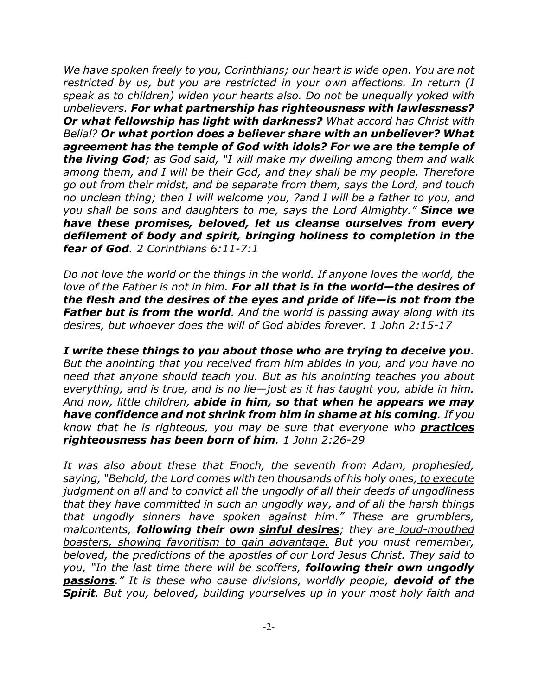*We have spoken freely to you, Corinthians; our heart is wide open. You are not restricted by us, but you are restricted in your own affections. In return (I speak as to children) widen your hearts also. Do not be unequally yoked with unbelievers. For what partnership has righteousness with lawlessness? Or what fellowship has light with darkness? What accord has Christ with Belial? Or what portion does a believer share with an unbeliever? What agreement has the temple of God with idols? For we are the temple of the living God; as God said, "I will make my dwelling among them and walk among them, and I will be their God, and they shall be my people. Therefore go out from their midst, and be separate from them, says the Lord, and touch no unclean thing; then I will welcome you, ?and I will be a father to you, and you shall be sons and daughters to me, says the Lord Almighty." Since we have these promises, beloved, let us cleanse ourselves from every defilement of body and spirit, bringing holiness to completion in the fear of God. 2 Corinthians 6:11-7:1*

*Do not love the world or the things in the world. If anyone loves the world, the love of the Father is not in him. For all that is in the world—the desires of the flesh and the desires of the eyes and pride of life—is not from the Father but is from the world. And the world is passing away along with its desires, but whoever does the will of God abides forever. 1 John 2:15-17*

*I write these things to you about those who are trying to deceive you. But the anointing that you received from him abides in you, and you have no need that anyone should teach you. But as his anointing teaches you about everything, and is true, and is no lie—just as it has taught you, abide in him. And now, little children, abide in him, so that when he appears we may have confidence and not shrink from him in shame at his coming. If you know that he is righteous, you may be sure that everyone who practices righteousness has been born of him. 1 John 2:26-29*

*It was also about these that Enoch, the seventh from Adam, prophesied, saying, "Behold, the Lord comes with ten thousands of his holy ones, to execute judgment on all and to convict all the ungodly of all their deeds of ungodliness that they have committed in such an ungodly way, and of all the harsh things that ungodly sinners have spoken against him." These are grumblers, malcontents, following their own sinful desires; they are loud-mouthed boasters, showing favoritism to gain advantage. But you must remember, beloved, the predictions of the apostles of our Lord Jesus Christ. They said to you, "In the last time there will be scoffers, following their own ungodly passions." It is these who cause divisions, worldly people, devoid of the Spirit. But you, beloved, building yourselves up in your most holy faith and*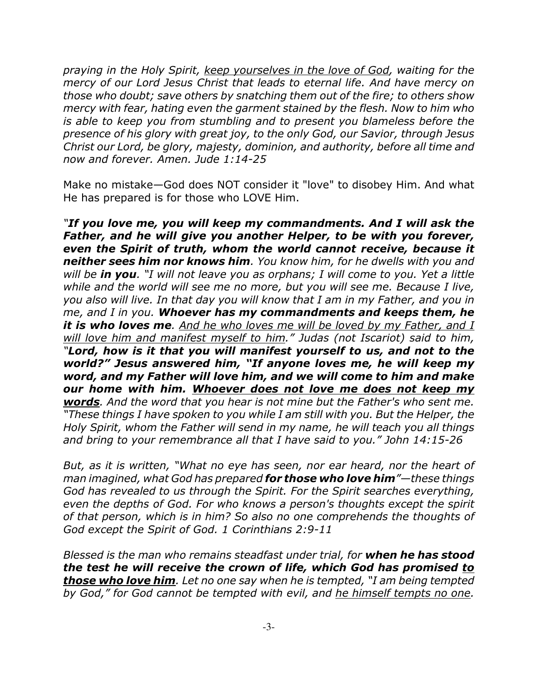*praying in the Holy Spirit, keep yourselves in the love of God, waiting for the mercy of our Lord Jesus Christ that leads to eternal life. And have mercy on those who doubt; save others by snatching them out of the fire; to others show mercy with fear, hating even the garment stained by the flesh. Now to him who is able to keep you from stumbling and to present you blameless before the presence of his glory with great joy, to the only God, our Savior, through Jesus Christ our Lord, be glory, majesty, dominion, and authority, before all time and now and forever. Amen. Jude 1:14-25*

Make no mistake—God does NOT consider it "love" to disobey Him. And what He has prepared is for those who LOVE Him.

*"If you love me, you will keep my commandments. And I will ask the Father, and he will give you another Helper, to be with you forever, even the Spirit of truth, whom the world cannot receive, because it neither sees him nor knows him. You know him, for he dwells with you and will be in you. "I will not leave you as orphans; I will come to you. Yet a little while and the world will see me no more, but you will see me. Because I live, you also will live. In that day you will know that I am in my Father, and you in me, and I in you. Whoever has my commandments and keeps them, he it is who loves me. And he who loves me will be loved by my Father, and I will love him and manifest myself to him." Judas (not Iscariot) said to him, "Lord, how is it that you will manifest yourself to us, and not to the world?" Jesus answered him, "If anyone loves me, he will keep my word, and my Father will love him, and we will come to him and make our home with him. Whoever does not love me does not keep my words. And the word that you hear is not mine but the Father's who sent me. "These things I have spoken to you while I am still with you. But the Helper, the Holy Spirit, whom the Father will send in my name, he will teach you all things and bring to your remembrance all that I have said to you." John 14:15-26*

*But, as it is written, "What no eye has seen, nor ear heard, nor the heart of man imagined, what God has prepared for those who love him"—these things God has revealed to us through the Spirit. For the Spirit searches everything, even the depths of God. For who knows a person's thoughts except the spirit of that person, which is in him? So also no one comprehends the thoughts of God except the Spirit of God. 1 Corinthians 2:9-11*

*Blessed is the man who remains steadfast under trial, for when he has stood the test he will receive the crown of life, which God has promised to those who love him. Let no one say when he is tempted, "I am being tempted by God," for God cannot be tempted with evil, and he himself tempts no one.*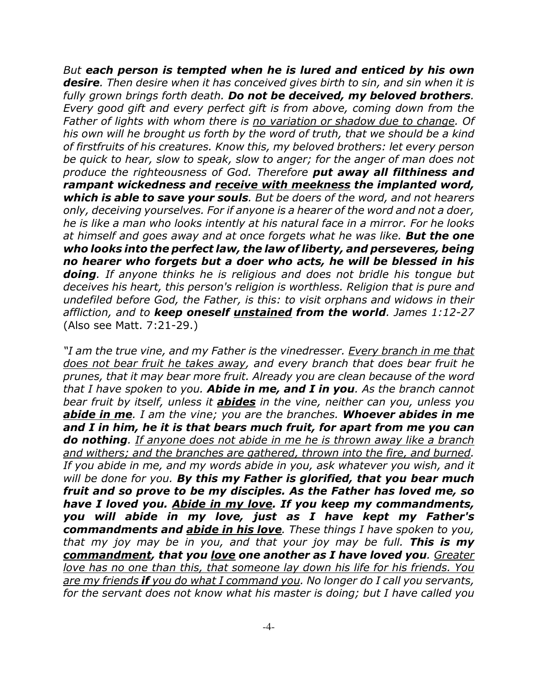*But each person is tempted when he is lured and enticed by his own desire. Then desire when it has conceived gives birth to sin, and sin when it is fully grown brings forth death. Do not be deceived, my beloved brothers. Every good gift and every perfect gift is from above, coming down from the Father of lights with whom there is no variation or shadow due to change. Of his own will he brought us forth by the word of truth, that we should be a kind of firstfruits of his creatures. Know this, my beloved brothers: let every person be quick to hear, slow to speak, slow to anger; for the anger of man does not produce the righteousness of God. Therefore put away all filthiness and rampant wickedness and receive with meekness the implanted word, which is able to save your souls. But be doers of the word, and not hearers only, deceiving yourselves. For if anyone is a hearer of the word and not a doer, he is like a man who looks intently at his natural face in a mirror. For he looks at himself and goes away and at once forgets what he was like. But the one who looks into the perfect law, the law of liberty, and perseveres, being no hearer who forgets but a doer who acts, he will be blessed in his doing. If anyone thinks he is religious and does not bridle his tongue but deceives his heart, this person's religion is worthless. Religion that is pure and undefiled before God, the Father, is this: to visit orphans and widows in their affliction, and to keep oneself unstained from the world. James 1:12-27* (Also see Matt. 7:21-29.)

*"I am the true vine, and my Father is the vinedresser. Every branch in me that does not bear fruit he takes away, and every branch that does bear fruit he prunes, that it may bear more fruit. Already you are clean because of the word that I have spoken to you. Abide in me, and I in you. As the branch cannot bear fruit by itself, unless it abides in the vine, neither can you, unless you abide in me. I am the vine; you are the branches. Whoever abides in me and I in him, he it is that bears much fruit, for apart from me you can do nothing. If anyone does not abide in me he is thrown away like a branch and withers; and the branches are gathered, thrown into the fire, and burned. If you abide in me, and my words abide in you, ask whatever you wish, and it will be done for you. By this my Father is glorified, that you bear much fruit and so prove to be my disciples. As the Father has loved me, so have I loved you. Abide in my love. If you keep my commandments, you will abide in my love, just as I have kept my Father's commandments and abide in his love. These things I have spoken to you, that my joy may be in you, and that your joy may be full. This is my commandment, that you love one another as I have loved you. Greater love has no one than this, that someone lay down his life for his friends. You are my friends if you do what I command you. No longer do I call you servants, for the servant does not know what his master is doing; but I have called you*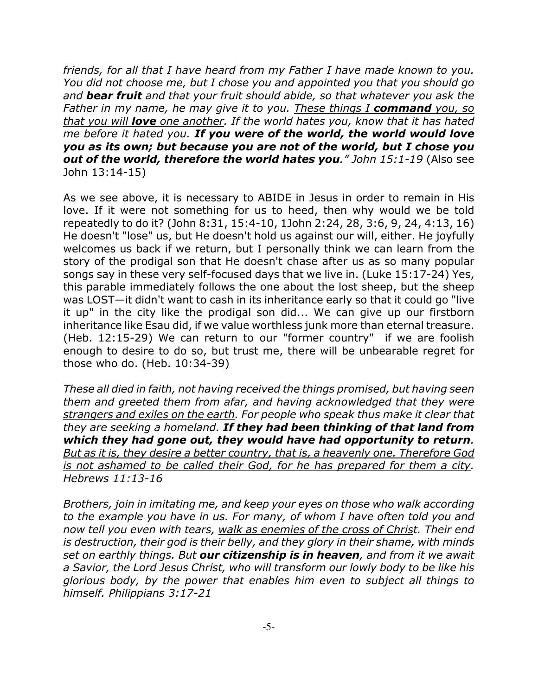*friends, for all that I have heard from my Father I have made known to you. You did not choose me, but I chose you and appointed you that you should go and bear fruit and that your fruit should abide, so that whatever you ask the Father in my name, he may give it to you. These things I command you, so that you will love one another. If the world hates you, know that it has hated me before it hated you. If you were of the world, the world would love you as its own; but because you are not of the world, but I chose you out of the world, therefore the world hates you." John 15:1-19* (Also see John 13:14-15)

As we see above, it is necessary to ABIDE in Jesus in order to remain in His love. If it were not something for us to heed, then why would we be told repeatedly to do it? (John 8:31, 15:4-10, 1John 2:24, 28, 3:6, 9, 24, 4:13, 16) He doesn't "lose" us, but He doesn't hold us against our will, either. He joyfully welcomes us back if we return, but I personally think we can learn from the story of the prodigal son that He doesn't chase after us as so many popular songs say in these very self-focused days that we live in. (Luke 15:17-24) Yes, this parable immediately follows the one about the lost sheep, but the sheep was LOST—it didn't want to cash in its inheritance early so that it could go "live it up" in the city like the prodigal son did... We can give up our firstborn inheritance like Esau did, if we value worthless junk more than eternal treasure. (Heb. 12:15-29) We can return to our "former country" if we are foolish enough to desire to do so, but trust me, there will be unbearable regret for those who do. (Heb. 10:34-39)

*These all died in faith, not having received the things promised, but having seen them and greeted them from afar, and having acknowledged that they were strangers and exiles on the earth. For people who speak thus make it clear that they are seeking a homeland. If they had been thinking of that land from which they had gone out, they would have had opportunity to return. But as it is, they desire a better country, that is, a heavenly one. Therefore God is not ashamed to be called their God, for he has prepared for them a city. Hebrews 11:13-16*

*Brothers, join in imitating me, and keep your eyes on those who walk according to the example you have in us. For many, of whom I have often told you and now tell you even with tears, walk as enemies of the cross of Christ. Their end is destruction, their god is their belly, and they glory in their shame, with minds set on earthly things. But our citizenship is in heaven, and from it we await a Savior, the Lord Jesus Christ, who will transform our lowly body to be like his glorious body, by the power that enables him even to subject all things to himself. Philippians 3:17-21*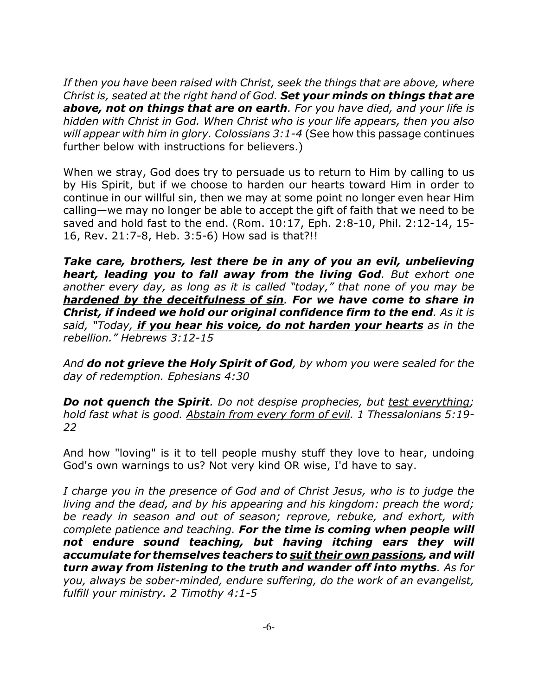*If then you have been raised with Christ, seek the things that are above, where Christ is, seated at the right hand of God. Set your minds on things that are above, not on things that are on earth. For you have died, and your life is hidden with Christ in God. When Christ who is your life appears, then you also will appear with him in glory. Colossians 3:1-4* (See how this passage continues further below with instructions for believers.)

When we stray, God does try to persuade us to return to Him by calling to us by His Spirit, but if we choose to harden our hearts toward Him in order to continue in our willful sin, then we may at some point no longer even hear Him calling—we may no longer be able to accept the gift of faith that we need to be saved and hold fast to the end. (Rom. 10:17, Eph. 2:8-10, Phil. 2:12-14, 15- 16, Rev. 21:7-8, Heb. 3:5-6) How sad is that?!!

*Take care, brothers, lest there be in any of you an evil, unbelieving heart, leading you to fall away from the living God. But exhort one another every day, as long as it is called "today," that none of you may be hardened by the deceitfulness of sin. For we have come to share in Christ, if indeed we hold our original confidence firm to the end. As it is said, "Today, if you hear his voice, do not harden your hearts as in the rebellion." Hebrews 3:12-15*

*And do not grieve the Holy Spirit of God, by whom you were sealed for the day of redemption. Ephesians 4:30*

*Do not quench the Spirit. Do not despise prophecies, but test everything; hold fast what is good. Abstain from every form of evil. 1 Thessalonians 5:19- 22*

And how "loving" is it to tell people mushy stuff they love to hear, undoing God's own warnings to us? Not very kind OR wise, I'd have to say.

*I charge you in the presence of God and of Christ Jesus, who is to judge the living and the dead, and by his appearing and his kingdom: preach the word; be ready in season and out of season; reprove, rebuke, and exhort, with complete patience and teaching. For the time is coming when people will not endure sound teaching, but having itching ears they will accumulate for themselves teachers to suit their own passions, and will turn away from listening to the truth and wander off into myths. As for you, always be sober-minded, endure suffering, do the work of an evangelist, fulfill your ministry. 2 Timothy 4:1-5*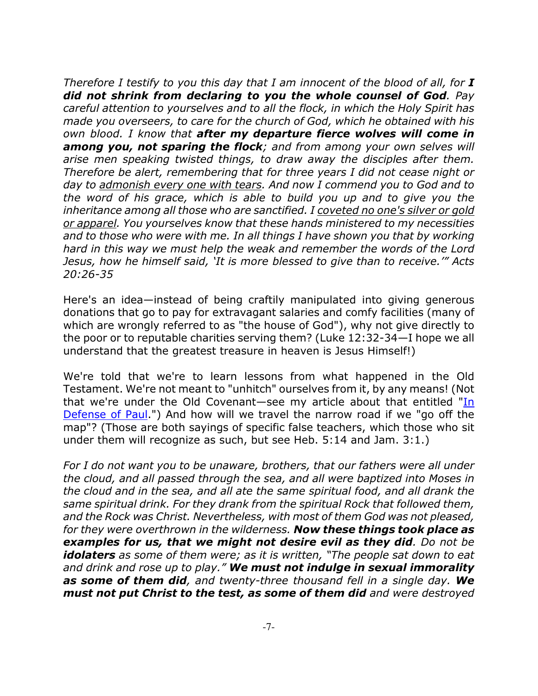*Therefore I testify to you this day that I am innocent of the blood of all, for I did not shrink from declaring to you the whole counsel of God. Pay careful attention to yourselves and to all the flock, in which the Holy Spirit has made you overseers, to care for the church of God, which he obtained with his own blood. I know that after my departure fierce wolves will come in among you, not sparing the flock; and from among your own selves will arise men speaking twisted things, to draw away the disciples after them. Therefore be alert, remembering that for three years I did not cease night or day to admonish every one with tears. And now I commend you to God and to the word of his grace, which is able to build you up and to give you the inheritance among all those who are sanctified. I coveted no one's silver or gold or apparel. You yourselves know that these hands ministered to my necessities and to those who were with me. In all things I have shown you that by working hard in this way we must help the weak and remember the words of the Lord Jesus, how he himself said, 'It is more blessed to give than to receive.'" Acts 20:26-35*

Here's an idea—instead of being craftily manipulated into giving generous donations that go to pay for extravagant salaries and comfy facilities (many of which are wrongly referred to as "the house of God"), why not give directly to the poor or to reputable charities serving them? (Luke 12:32-34—I hope we all understand that the greatest treasure in heaven is Jesus Himself!)

We're told that we're to learn lessons from what happened in the Old Testament. We're not meant to "unhitch" ourselves from it, by any means! (Not that we're under the Old Covenant—see my article about that entitled "In Defense of Paul.") And how will we travel the narrow road if we "go off the map"? (Those are both sayings of specific false teachers, which those who sit under them will recognize as such, but see Heb. 5:14 and Jam. 3:1.)

*For I do not want you to be unaware, brothers, that our fathers were all under the cloud, and all passed through the sea, and all were baptized into Moses in the cloud and in the sea, and all ate the same spiritual food, and all drank the same spiritual drink. For they drank from the spiritual Rock that followed them, and the Rock was Christ. Nevertheless, with most of them God was not pleased, for they were overthrown in the wilderness. Now these things took place as examples for us, that we might not desire evil as they did. Do not be idolaters as some of them were; as it is written, "The people sat down to eat and drink and rose up to play." We must not indulge in sexual immorality as some of them did, and twenty-three thousand fell in a single day. We must not put Christ to the test, as some of them did and were destroyed*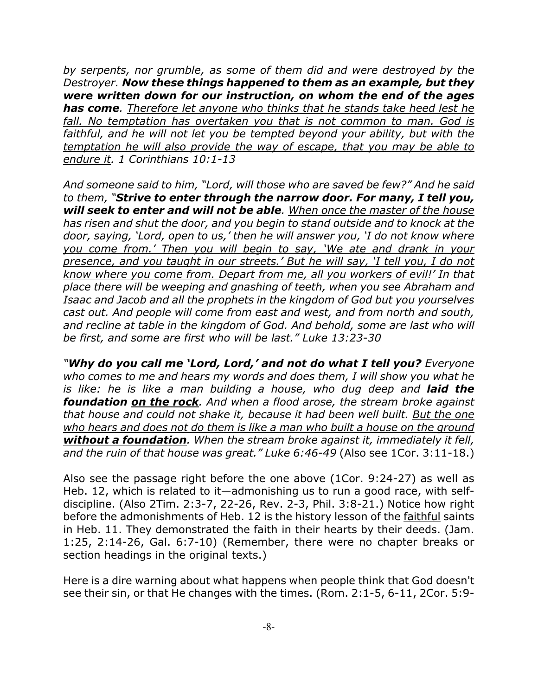*by serpents, nor grumble, as some of them did and were destroyed by the Destroyer. Now these things happened to them as an example, but they were written down for our instruction, on whom the end of the ages has come. Therefore let anyone who thinks that he stands take heed lest he fall. No temptation has overtaken you that is not common to man. God is faithful, and he will not let you be tempted beyond your ability, but with the temptation he will also provide the way of escape, that you may be able to endure it. 1 Corinthians 10:1-13*

*And someone said to him, "Lord, will those who are saved be few?" And he said to them, "Strive to enter through the narrow door. For many, I tell you, will seek to enter and will not be able. When once the master of the house has risen and shut the door, and you begin to stand outside and to knock at the door, saying, 'Lord, open to us,' then he will answer you, 'I do not know where you come from.' Then you will begin to say, 'We ate and drank in your presence, and you taught in our streets.' But he will say, 'I tell you, I do not know where you come from. Depart from me, all you workers of evil!' In that place there will be weeping and gnashing of teeth, when you see Abraham and Isaac and Jacob and all the prophets in the kingdom of God but you yourselves cast out. And people will come from east and west, and from north and south,* and recline at table in the kingdom of God. And behold, some are last who will *be first, and some are first who will be last." Luke 13:23-30*

*"Why do you call me 'Lord, Lord,' and not do what I tell you? Everyone who comes to me and hears my words and does them, I will show you what he is like: he is like a man building a house, who dug deep and laid the foundation on the rock. And when a flood arose, the stream broke against that house and could not shake it, because it had been well built. But the one who hears and does not do them is like a man who built a house on the ground without a foundation. When the stream broke against it, immediately it fell, and the ruin of that house was great." Luke 6:46-49* (Also see 1Cor. 3:11-18.)

Also see the passage right before the one above (1Cor. 9:24-27) as well as Heb. 12, which is related to it—admonishing us to run a good race, with selfdiscipline. (Also 2Tim. 2:3-7, 22-26, Rev. 2-3, Phil. 3:8-21.) Notice how right before the admonishments of Heb. 12 is the history lesson of the faithful saints in Heb. 11. They demonstrated the faith in their hearts by their deeds. (Jam. 1:25, 2:14-26, Gal. 6:7-10) (Remember, there were no chapter breaks or section headings in the original texts.)

Here is a dire warning about what happens when people think that God doesn't see their sin, or that He changes with the times. (Rom. 2:1-5, 6-11, 2Cor. 5:9-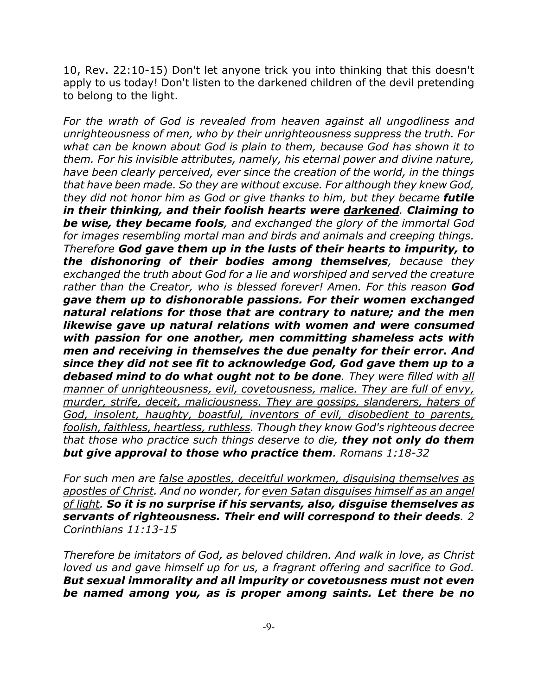10, Rev. 22:10-15) Don't let anyone trick you into thinking that this doesn't apply to us today! Don't listen to the darkened children of the devil pretending to belong to the light.

*For the wrath of God is revealed from heaven against all ungodliness and unrighteousness of men, who by their unrighteousness suppress the truth. For what can be known about God is plain to them, because God has shown it to them. For his invisible attributes, namely, his eternal power and divine nature, have been clearly perceived, ever since the creation of the world, in the things that have been made. So they are without excuse. For although they knew God, they did not honor him as God or give thanks to him, but they became futile in their thinking, and their foolish hearts were darkened. Claiming to be wise, they became fools, and exchanged the glory of the immortal God for images resembling mortal man and birds and animals and creeping things. Therefore God gave them up in the lusts of their hearts to impurity, to the dishonoring of their bodies among themselves, because they exchanged the truth about God for a lie and worshiped and served the creature rather than the Creator, who is blessed forever! Amen. For this reason God gave them up to dishonorable passions. For their women exchanged natural relations for those that are contrary to nature; and the men likewise gave up natural relations with women and were consumed with passion for one another, men committing shameless acts with men and receiving in themselves the due penalty for their error. And since they did not see fit to acknowledge God, God gave them up to a debased mind to do what ought not to be done. They were filled with all manner of unrighteousness, evil, covetousness, malice. They are full of envy, murder, strife, deceit, maliciousness. They are gossips, slanderers, haters of God, insolent, haughty, boastful, inventors of evil, disobedient to parents, foolish, faithless, heartless, ruthless. Though they know God's righteous decree that those who practice such things deserve to die, they not only do them but give approval to those who practice them. Romans 1:18-32*

*For such men are false apostles, deceitful workmen, disguising themselves as apostles of Christ. And no wonder, for even Satan disguises himself as an angel of light. So it is no surprise if his servants, also, disguise themselves as servants of righteousness. Their end will correspond to their deeds. 2 Corinthians 11:13-15*

*Therefore be imitators of God, as beloved children. And walk in love, as Christ loved us and gave himself up for us, a fragrant offering and sacrifice to God. But sexual immorality and all impurity or covetousness must not even be named among you, as is proper among saints. Let there be no*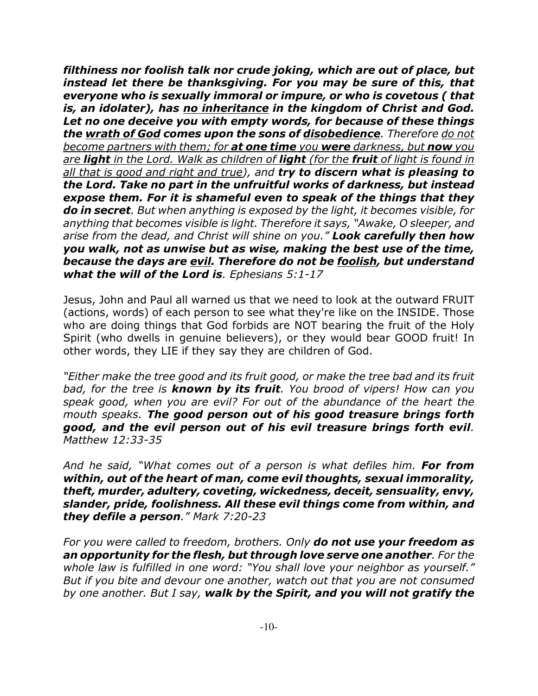*filthiness nor foolish talk nor crude joking, which are out of place, but instead let there be thanksgiving. For you may be sure of this, that everyone who is sexually immoral or impure, or who is covetous ( that is, an idolater), has no inheritance in the kingdom of Christ and God. Let no one deceive you with empty words, for because of these things the wrath of God comes upon the sons of disobedience. Therefore do not become partners with them; for at one time you were darkness, but now you are light in the Lord. Walk as children of light (for the fruit of light is found in all that is good and right and true), and try to discern what is pleasing to the Lord. Take no part in the unfruitful works of darkness, but instead expose them. For it is shameful even to speak of the things that they do in secret. But when anything is exposed by the light, it becomes visible, for anything that becomes visible is light. Therefore it says, "Awake, O sleeper, and arise from the dead, and Christ will shine on you." Look carefully then how you walk, not as unwise but as wise, making the best use of the time, because the days are evil. Therefore do not be foolish, but understand what the will of the Lord is. Ephesians 5:1-17*

Jesus, John and Paul all warned us that we need to look at the outward FRUIT (actions, words) of each person to see what they're like on the INSIDE. Those who are doing things that God forbids are NOT bearing the fruit of the Holy Spirit (who dwells in genuine believers), or they would bear GOOD fruit! In other words, they LIE if they say they are children of God.

*"Either make the tree good and its fruit good, or make the tree bad and its fruit bad, for the tree is known by its fruit. You brood of vipers! How can you speak good, when you are evil? For out of the abundance of the heart the mouth speaks. The good person out of his good treasure brings forth good, and the evil person out of his evil treasure brings forth evil. Matthew 12:33-35*

*And he said, "What comes out of a person is what defiles him. For from within, out of the heart of man, come evil thoughts, sexual immorality, theft, murder, adultery, coveting, wickedness, deceit, sensuality, envy, slander, pride, foolishness. All these evil things come from within, and they defile a person." Mark 7:20-23*

*For you were called to freedom, brothers. Only do not use your freedom as an opportunity for the flesh, but through love serve one another. For the whole law is fulfilled in one word: "You shall love your neighbor as yourself." But if you bite and devour one another, watch out that you are not consumed by one another. But I say, walk by the Spirit, and you will not gratify the*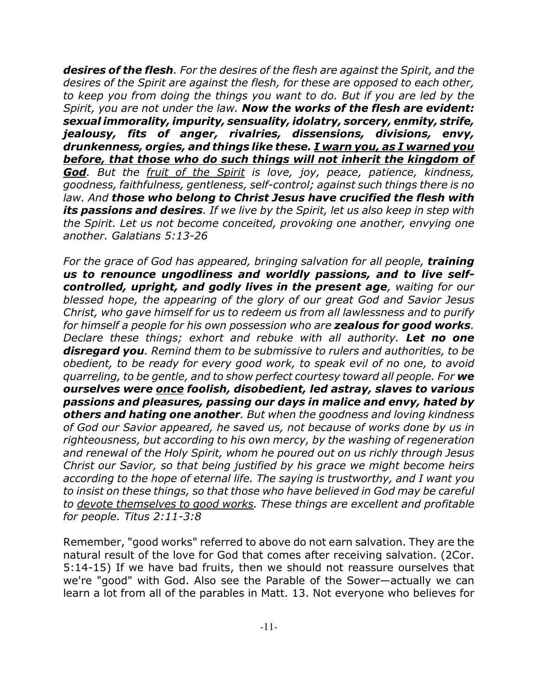*desires of the flesh. For the desires of the flesh are against the Spirit, and the desires of the Spirit are against the flesh, for these are opposed to each other, to keep you from doing the things you want to do. But if you are led by the Spirit, you are not under the law. Now the works of the flesh are evident: sexual immorality, impurity, sensuality, idolatry, sorcery, enmity, strife, jealousy, fits of anger, rivalries, dissensions, divisions, envy, drunkenness, orgies, and things like these. I warn you, as I warned you before, that those who do such things will not inherit the kingdom of God. But the fruit of the Spirit is love, joy, peace, patience, kindness, goodness, faithfulness, gentleness, self-control; against such things there is no law. And those who belong to Christ Jesus have crucified the flesh with its passions and desires. If we live by the Spirit, let us also keep in step with the Spirit. Let us not become conceited, provoking one another, envying one another. Galatians 5:13-26*

*For the grace of God has appeared, bringing salvation for all people, training us to renounce ungodliness and worldly passions, and to live selfcontrolled, upright, and godly lives in the present age, waiting for our blessed hope, the appearing of the glory of our great God and Savior Jesus Christ, who gave himself for us to redeem us from all lawlessness and to purify for himself a people for his own possession who are zealous for good works. Declare these things; exhort and rebuke with all authority. Let no one disregard you. Remind them to be submissive to rulers and authorities, to be obedient, to be ready for every good work, to speak evil of no one, to avoid quarreling, to be gentle, and to show perfect courtesy toward all people. For we ourselves were once foolish, disobedient, led astray, slaves to various passions and pleasures, passing our days in malice and envy, hated by others and hating one another. But when the goodness and loving kindness of God our Savior appeared, he saved us, not because of works done by us in righteousness, but according to his own mercy, by the washing of regeneration and renewal of the Holy Spirit, whom he poured out on us richly through Jesus Christ our Savior, so that being justified by his grace we might become heirs according to the hope of eternal life. The saying is trustworthy, and I want you to insist on these things, so that those who have believed in God may be careful to devote themselves to good works. These things are excellent and profitable for people. Titus 2:11-3:8*

Remember, "good works" referred to above do not earn salvation. They are the natural result of the love for God that comes after receiving salvation. (2Cor. 5:14-15) If we have bad fruits, then we should not reassure ourselves that we're "good" with God. Also see the Parable of the Sower—actually we can learn a lot from all of the parables in Matt. 13. Not everyone who believes for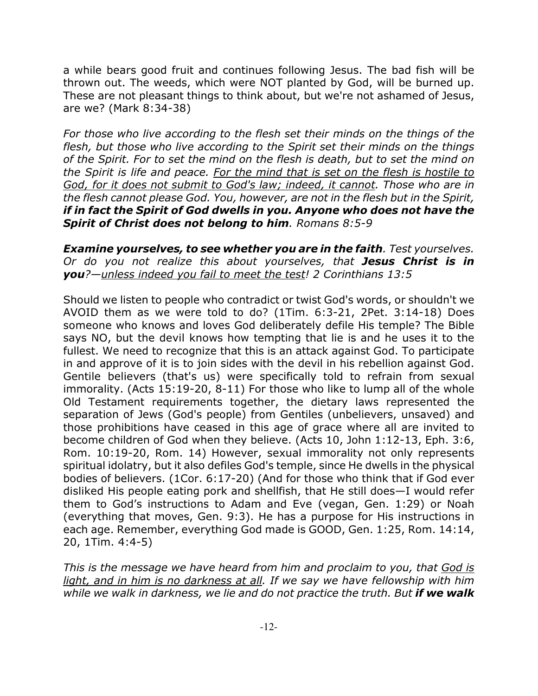a while bears good fruit and continues following Jesus. The bad fish will be thrown out. The weeds, which were NOT planted by God, will be burned up. These are not pleasant things to think about, but we're not ashamed of Jesus, are we? (Mark 8:34-38)

*For those who live according to the flesh set their minds on the things of the flesh, but those who live according to the Spirit set their minds on the things of the Spirit. For to set the mind on the flesh is death, but to set the mind on the Spirit is life and peace. For the mind that is set on the flesh is hostile to God, for it does not submit to God's law; indeed, it cannot. Those who are in the flesh cannot please God. You, however, are not in the flesh but in the Spirit, if in fact the Spirit of God dwells in you. Anyone who does not have the Spirit of Christ does not belong to him. Romans 8:5-9*

*Examine yourselves, to see whether you are in the faith. Test yourselves. Or do you not realize this about yourselves, that Jesus Christ is in you?—unless indeed you fail to meet the test! 2 Corinthians 13:5*

Should we listen to people who contradict or twist God's words, or shouldn't we AVOID them as we were told to do? (1Tim. 6:3-21, 2Pet. 3:14-18) Does someone who knows and loves God deliberately defile His temple? The Bible says NO, but the devil knows how tempting that lie is and he uses it to the fullest. We need to recognize that this is an attack against God. To participate in and approve of it is to join sides with the devil in his rebellion against God. Gentile believers (that's us) were specifically told to refrain from sexual immorality. (Acts 15:19-20, 8-11) For those who like to lump all of the whole Old Testament requirements together, the dietary laws represented the separation of Jews (God's people) from Gentiles (unbelievers, unsaved) and those prohibitions have ceased in this age of grace where all are invited to become children of God when they believe. (Acts 10, John 1:12-13, Eph. 3:6, Rom. 10:19-20, Rom. 14) However, sexual immorality not only represents spiritual idolatry, but it also defiles God's temple, since He dwells in the physical bodies of believers. (1Cor. 6:17-20) (And for those who think that if God ever disliked His people eating pork and shellfish, that He still does—I would refer them to God's instructions to Adam and Eve (vegan, Gen. 1:29) or Noah (everything that moves, Gen. 9:3). He has a purpose for His instructions in each age. Remember, everything God made is GOOD, Gen. 1:25, Rom. 14:14, 20, 1Tim. 4:4-5)

*This is the message we have heard from him and proclaim to you, that God is light, and in him is no darkness at all. If we say we have fellowship with him* while we walk in darkness, we lie and do not practice the truth. But **if we walk**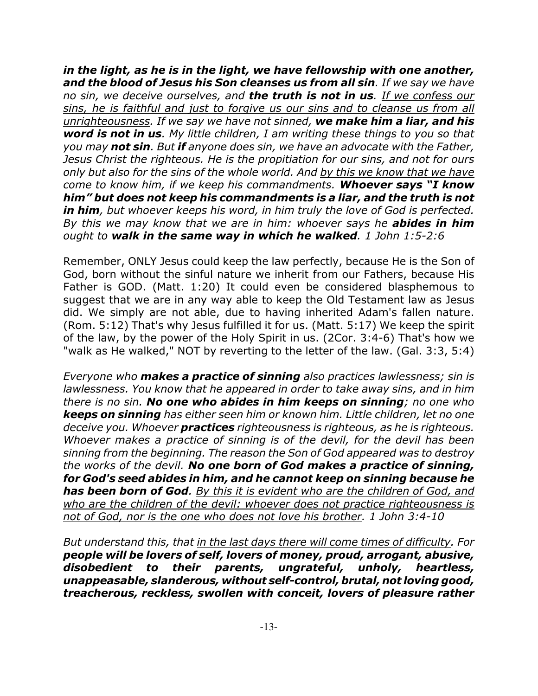*in the light, as he is in the light, we have fellowship with one another, and the blood of Jesus his Son cleanses us from all sin. If we say we have no sin, we deceive ourselves, and the truth is not in us. If we confess our sins, he is faithful and just to forgive us our sins and to cleanse us from all unrighteousness. If we say we have not sinned, we make him a liar, and his word is not in us. My little children, I am writing these things to you so that you may not sin. But if anyone does sin, we have an advocate with the Father, Jesus Christ the righteous. He is the propitiation for our sins, and not for ours only but also for the sins of the whole world. And by this we know that we have come to know him, if we keep his commandments. Whoever says "I know him" but does not keep his commandments is a liar, and the truth is not in him, but whoever keeps his word, in him truly the love of God is perfected. By this we may know that we are in him: whoever says he abides in him ought to walk in the same way in which he walked. 1 John 1:5-2:6*

Remember, ONLY Jesus could keep the law perfectly, because He is the Son of God, born without the sinful nature we inherit from our Fathers, because His Father is GOD. (Matt. 1:20) It could even be considered blasphemous to suggest that we are in any way able to keep the Old Testament law as Jesus did. We simply are not able, due to having inherited Adam's fallen nature. (Rom. 5:12) That's why Jesus fulfilled it for us. (Matt. 5:17) We keep the spirit of the law, by the power of the Holy Spirit in us. (2Cor. 3:4-6) That's how we "walk as He walked," NOT by reverting to the letter of the law. (Gal. 3:3, 5:4)

*Everyone who makes a practice of sinning also practices lawlessness; sin is lawlessness. You know that he appeared in order to take away sins, and in him there is no sin. No one who abides in him keeps on sinning; no one who keeps on sinning has either seen him or known him. Little children, let no one deceive you. Whoever practices righteousness is righteous, as he is righteous. Whoever makes a practice of sinning is of the devil, for the devil has been sinning from the beginning. The reason the Son of God appeared was to destroy the works of the devil. No one born of God makes a practice of sinning, for God's seed abides in him, and he cannot keep on sinning because he has been born of God. By this it is evident who are the children of God, and who are the children of the devil: whoever does not practice righteousness is not of God, nor is the one who does not love his brother. 1 John 3:4-10*

*But understand this, that in the last days there will come times of difficulty. For people will be lovers of self, lovers of money, proud, arrogant, abusive, disobedient to their parents, ungrateful, unholy, heartless, unappeasable, slanderous, without self-control, brutal, not loving good, treacherous, reckless, swollen with conceit, lovers of pleasure rather*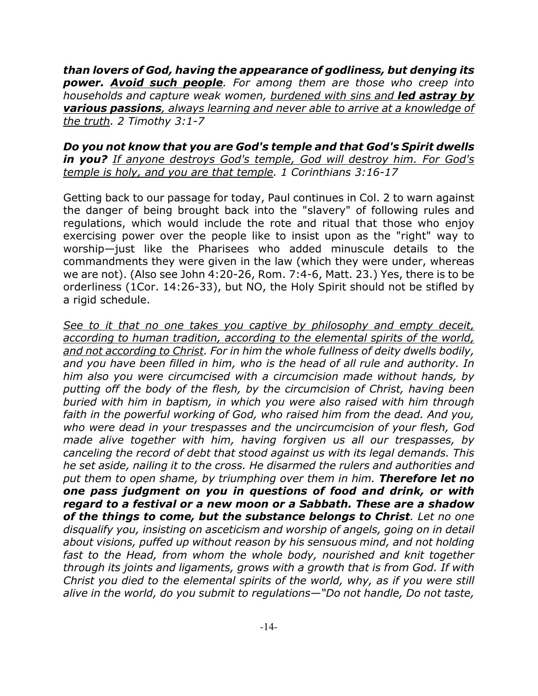*than lovers of God, having the appearance of godliness, but denying its power. Avoid such people. For among them are those who creep into households and capture weak women, burdened with sins and led astray by various passions, always learning and never able to arrive at a knowledge of the truth. 2 Timothy 3:1-7*

## *Do you not know that you are God's temple and that God's Spirit dwells in you? If anyone destroys God's temple, God will destroy him. For God's temple is holy, and you are that temple. 1 Corinthians 3:16-17*

Getting back to our passage for today, Paul continues in Col. 2 to warn against the danger of being brought back into the "slavery" of following rules and regulations, which would include the rote and ritual that those who enjoy exercising power over the people like to insist upon as the "right" way to worship—just like the Pharisees who added minuscule details to the commandments they were given in the law (which they were under, whereas we are not). (Also see John 4:20-26, Rom. 7:4-6, Matt. 23.) Yes, there is to be orderliness (1Cor. 14:26-33), but NO, the Holy Spirit should not be stifled by a rigid schedule.

*See to it that no one takes you captive by philosophy and empty deceit, according to human tradition, according to the elemental spirits of the world, and not according to Christ. For in him the whole fullness of deity dwells bodily, and you have been filled in him, who is the head of all rule and authority. In him also you were circumcised with a circumcision made without hands, by putting off the body of the flesh, by the circumcision of Christ, having been buried with him in baptism, in which you were also raised with him through faith in the powerful working of God, who raised him from the dead. And you, who were dead in your trespasses and the uncircumcision of your flesh, God made alive together with him, having forgiven us all our trespasses, by canceling the record of debt that stood against us with its legal demands. This he set aside, nailing it to the cross. He disarmed the rulers and authorities and put them to open shame, by triumphing over them in him. Therefore let no one pass judgment on you in questions of food and drink, or with regard to a festival or a new moon or a Sabbath. These are a shadow of the things to come, but the substance belongs to Christ. Let no one disqualify you, insisting on asceticism and worship of angels, going on in detail about visions, puffed up without reason by his sensuous mind, and not holding fast to the Head, from whom the whole body, nourished and knit together through its joints and ligaments, grows with a growth that is from God. If with Christ you died to the elemental spirits of the world, why, as if you were still alive in the world, do you submit to regulations—"Do not handle, Do not taste,*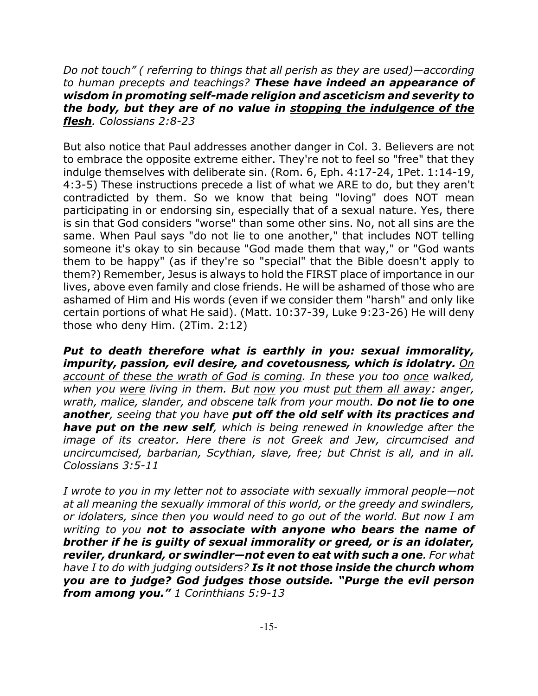*Do not touch" ( referring to things that all perish as they are used)—according to human precepts and teachings? These have indeed an appearance of wisdom in promoting self-made religion and asceticism and severity to the body, but they are of no value in stopping the indulgence of the flesh. Colossians 2:8-23*

But also notice that Paul addresses another danger in Col. 3. Believers are not to embrace the opposite extreme either. They're not to feel so "free" that they indulge themselves with deliberate sin. (Rom. 6, Eph. 4:17-24, 1Pet. 1:14-19, 4:3-5) These instructions precede a list of what we ARE to do, but they aren't contradicted by them. So we know that being "loving" does NOT mean participating in or endorsing sin, especially that of a sexual nature. Yes, there is sin that God considers "worse" than some other sins. No, not all sins are the same. When Paul says "do not lie to one another," that includes NOT telling someone it's okay to sin because "God made them that way," or "God wants them to be happy" (as if they're so "special" that the Bible doesn't apply to them?) Remember, Jesus is always to hold the FIRST place of importance in our lives, above even family and close friends. He will be ashamed of those who are ashamed of Him and His words (even if we consider them "harsh" and only like certain portions of what He said). (Matt. 10:37-39, Luke 9:23-26) He will deny those who deny Him. (2Tim. 2:12)

*Put to death therefore what is earthly in you: sexual immorality, impurity, passion, evil desire, and covetousness, which is idolatry. On account of these the wrath of God is coming. In these you too once walked, when you were living in them. But now you must put them all away: anger, wrath, malice, slander, and obscene talk from your mouth. Do not lie to one another, seeing that you have put off the old self with its practices and have put on the new self, which is being renewed in knowledge after the image of its creator. Here there is not Greek and Jew, circumcised and uncircumcised, barbarian, Scythian, slave, free; but Christ is all, and in all. Colossians 3:5-11*

*I wrote to you in my letter not to associate with sexually immoral people—not at all meaning the sexually immoral of this world, or the greedy and swindlers, or idolaters, since then you would need to go out of the world. But now I am writing to you not to associate with anyone who bears the name of brother if he is guilty of sexual immorality or greed, or is an idolater, reviler, drunkard, or swindler—not even to eat with such a one. For what have I to do with judging outsiders? Is it not those inside the church whom you are to judge? God judges those outside. "Purge the evil person from among you." 1 Corinthians 5:9-13*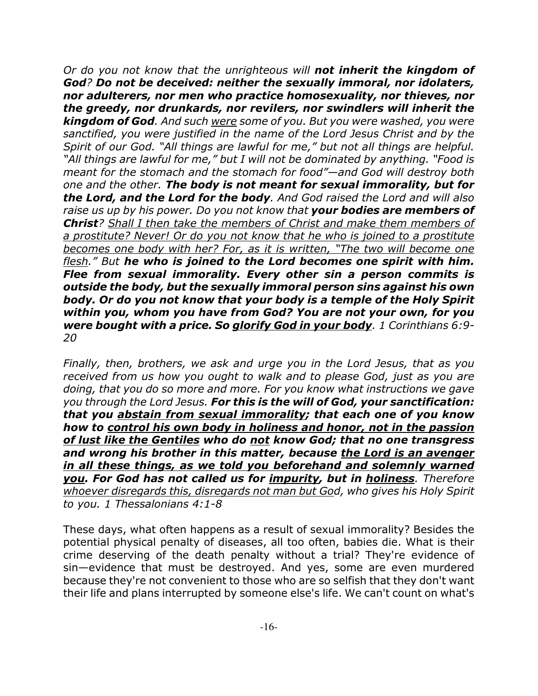*Or do you not know that the unrighteous will not inherit the kingdom of God? Do not be deceived: neither the sexually immoral, nor idolaters, nor adulterers, nor men who practice homosexuality, nor thieves, nor the greedy, nor drunkards, nor revilers, nor swindlers will inherit the kingdom of God. And such were some of you. But you were washed, you were sanctified, you were justified in the name of the Lord Jesus Christ and by the Spirit of our God. "All things are lawful for me," but not all things are helpful. "All things are lawful for me," but I will not be dominated by anything. "Food is meant for the stomach and the stomach for food"—and God will destroy both one and the other. The body is not meant for sexual immorality, but for the Lord, and the Lord for the body. And God raised the Lord and will also raise us up by his power. Do you not know that your bodies are members of Christ? Shall I then take the members of Christ and make them members of a prostitute? Never! Or do you not know that he who is joined to a prostitute becomes one body with her? For, as it is written, "The two will become one flesh." But he who is joined to the Lord becomes one spirit with him. Flee from sexual immorality. Every other sin a person commits is outside the body, but the sexually immoral person sins against his own body. Or do you not know that your body is a temple of the Holy Spirit within you, whom you have from God? You are not your own, for you were bought with a price. So glorify God in your body. 1 Corinthians 6:9- 20*

*Finally, then, brothers, we ask and urge you in the Lord Jesus, that as you received from us how you ought to walk and to please God, just as you are doing, that you do so more and more. For you know what instructions we gave you through the Lord Jesus. For this is the will of God, your sanctification: that you abstain from sexual immorality; that each one of you know how to control his own body in holiness and honor, not in the passion of lust like the Gentiles who do not know God; that no one transgress and wrong his brother in this matter, because the Lord is an avenger in all these things, as we told you beforehand and solemnly warned you. For God has not called us for impurity, but in holiness. Therefore whoever disregards this, disregards not man but God, who gives his Holy Spirit to you. 1 Thessalonians 4:1-8*

These days, what often happens as a result of sexual immorality? Besides the potential physical penalty of diseases, all too often, babies die. What is their crime deserving of the death penalty without a trial? They're evidence of sin—evidence that must be destroyed. And yes, some are even murdered because they're not convenient to those who are so selfish that they don't want their life and plans interrupted by someone else's life. We can't count on what's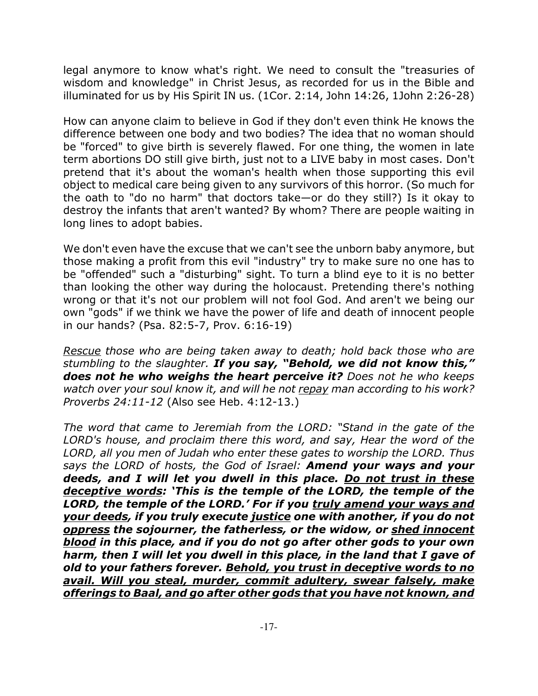legal anymore to know what's right. We need to consult the "treasuries of wisdom and knowledge" in Christ Jesus, as recorded for us in the Bible and illuminated for us by His Spirit IN us. (1Cor. 2:14, John 14:26, 1John 2:26-28)

How can anyone claim to believe in God if they don't even think He knows the difference between one body and two bodies? The idea that no woman should be "forced" to give birth is severely flawed. For one thing, the women in late term abortions DO still give birth, just not to a LIVE baby in most cases. Don't pretend that it's about the woman's health when those supporting this evil object to medical care being given to any survivors of this horror. (So much for the oath to "do no harm" that doctors take—or do they still?) Is it okay to destroy the infants that aren't wanted? By whom? There are people waiting in long lines to adopt babies.

We don't even have the excuse that we can't see the unborn baby anymore, but those making a profit from this evil "industry" try to make sure no one has to be "offended" such a "disturbing" sight. To turn a blind eye to it is no better than looking the other way during the holocaust. Pretending there's nothing wrong or that it's not our problem will not fool God. And aren't we being our own "gods" if we think we have the power of life and death of innocent people in our hands? (Psa. 82:5-7, Prov. 6:16-19)

*Rescue those who are being taken away to death; hold back those who are stumbling to the slaughter. If you say, "Behold, we did not know this," does not he who weighs the heart perceive it? Does not he who keeps watch over your soul know it, and will he not repay man according to his work? Proverbs 24:11-12* (Also see Heb. 4:12-13.)

*The word that came to Jeremiah from the LORD: "Stand in the gate of the LORD's house, and proclaim there this word, and say, Hear the word of the LORD, all you men of Judah who enter these gates to worship the LORD. Thus says the LORD of hosts, the God of Israel: Amend your ways and your deeds, and I will let you dwell in this place. Do not trust in these deceptive words: 'This is the temple of the LORD, the temple of the LORD, the temple of the LORD.' For if you truly amend your ways and your deeds, if you truly execute justice one with another, if you do not oppress the sojourner, the fatherless, or the widow, or shed innocent blood in this place, and if you do not go after other gods to your own harm, then I will let you dwell in this place, in the land that I gave of old to your fathers forever. Behold, you trust in deceptive words to no avail. Will you steal, murder, commit adultery, swear falsely, make offerings to Baal, and go after other gods that you have not known, and*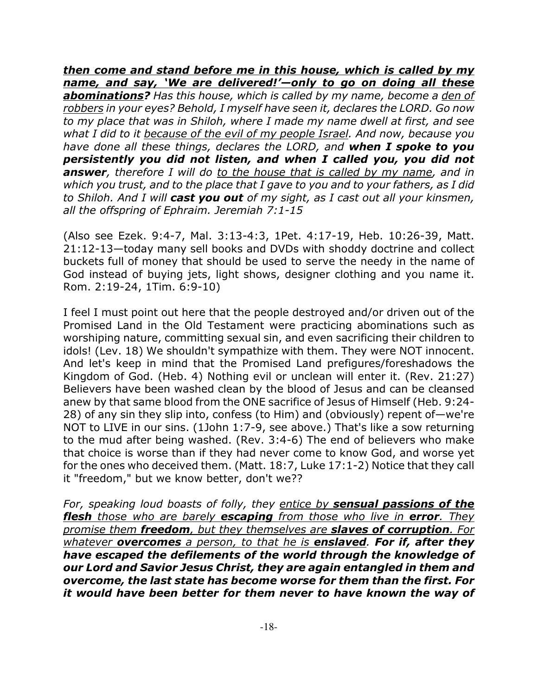*then come and stand before me in this house, which is called by my name, and say, 'We are delivered!'—only to go on doing all these abominations? Has this house, which is called by my name, become a den of robbers in your eyes? Behold, I myself have seen it, declares the LORD. Go now to my place that was in Shiloh, where I made my name dwell at first, and see what I did to it because of the evil of my people Israel. And now, because you have done all these things, declares the LORD, and when I spoke to you persistently you did not listen, and when I called you, you did not answer, therefore I will do to the house that is called by my name, and in which you trust, and to the place that I gave to you and to your fathers, as I did to Shiloh. And I will cast you out of my sight, as I cast out all your kinsmen, all the offspring of Ephraim. Jeremiah 7:1-15* 

(Also see Ezek. 9:4-7, Mal. 3:13-4:3, 1Pet. 4:17-19, Heb. 10:26-39, Matt. 21:12-13—today many sell books and DVDs with shoddy doctrine and collect buckets full of money that should be used to serve the needy in the name of God instead of buying jets, light shows, designer clothing and you name it. Rom. 2:19-24, 1Tim. 6:9-10)

I feel I must point out here that the people destroyed and/or driven out of the Promised Land in the Old Testament were practicing abominations such as worshiping nature, committing sexual sin, and even sacrificing their children to idols! (Lev. 18) We shouldn't sympathize with them. They were NOT innocent. And let's keep in mind that the Promised Land prefigures/foreshadows the Kingdom of God. (Heb. 4) Nothing evil or unclean will enter it. (Rev. 21:27) Believers have been washed clean by the blood of Jesus and can be cleansed anew by that same blood from the ONE sacrifice of Jesus of Himself (Heb. 9:24- 28) of any sin they slip into, confess (to Him) and (obviously) repent of—we're NOT to LIVE in our sins. (1John 1:7-9, see above.) That's like a sow returning to the mud after being washed. (Rev. 3:4-6) The end of believers who make that choice is worse than if they had never come to know God, and worse yet for the ones who deceived them. (Matt. 18:7, Luke 17:1-2) Notice that they call it "freedom," but we know better, don't we??

*For, speaking loud boasts of folly, they entice by sensual passions of the flesh those who are barely escaping from those who live in error. They promise them freedom, but they themselves are slaves of corruption. For whatever overcomes a person, to that he is enslaved. For if, after they have escaped the defilements of the world through the knowledge of our Lord and Savior Jesus Christ, they are again entangled in them and overcome, the last state has become worse for them than the first. For it would have been better for them never to have known the way of*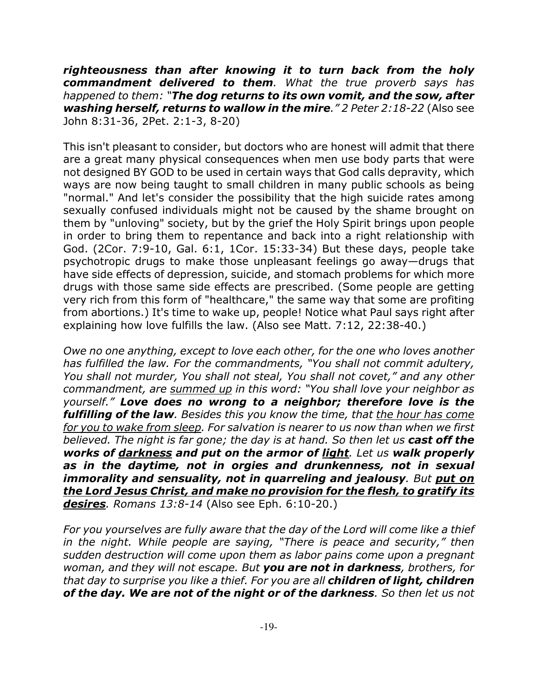*righteousness than after knowing it to turn back from the holy commandment delivered to them. What the true proverb says has happened to them: "The dog returns to its own vomit, and the sow, after washing herself, returns to wallow in the mire." 2 Peter 2:18-22* (Also see John 8:31-36, 2Pet. 2:1-3, 8-20)

This isn't pleasant to consider, but doctors who are honest will admit that there are a great many physical consequences when men use body parts that were not designed BY GOD to be used in certain ways that God calls depravity, which ways are now being taught to small children in many public schools as being "normal." And let's consider the possibility that the high suicide rates among sexually confused individuals might not be caused by the shame brought on them by "unloving" society, but by the grief the Holy Spirit brings upon people in order to bring them to repentance and back into a right relationship with God. (2Cor. 7:9-10, Gal. 6:1, 1Cor. 15:33-34) But these days, people take psychotropic drugs to make those unpleasant feelings go away—drugs that have side effects of depression, suicide, and stomach problems for which more drugs with those same side effects are prescribed. (Some people are getting very rich from this form of "healthcare," the same way that some are profiting from abortions.) It's time to wake up, people! Notice what Paul says right after explaining how love fulfills the law. (Also see Matt. 7:12, 22:38-40.)

*Owe no one anything, except to love each other, for the one who loves another has fulfilled the law. For the commandments, "You shall not commit adultery, You shall not murder, You shall not steal, You shall not covet," and any other commandment, are summed up in this word: "You shall love your neighbor as yourself." Love does no wrong to a neighbor; therefore love is the fulfilling of the law. Besides this you know the time, that the hour has come for you to wake from sleep. For salvation is nearer to us now than when we first believed. The night is far gone; the day is at hand. So then let us cast off the works of darkness and put on the armor of light. Let us walk properly as in the daytime, not in orgies and drunkenness, not in sexual immorality and sensuality, not in quarreling and jealousy. But put on the Lord Jesus Christ, and make no provision for the flesh, to gratify its desires. Romans 13:8-14* (Also see Eph. 6:10-20.)

*For you yourselves are fully aware that the day of the Lord will come like a thief in the night. While people are saying, "There is peace and security," then sudden destruction will come upon them as labor pains come upon a pregnant woman, and they will not escape. But you are not in darkness, brothers, for that day to surprise you like a thief. For you are all children of light, children of the day. We are not of the night or of the darkness. So then let us not*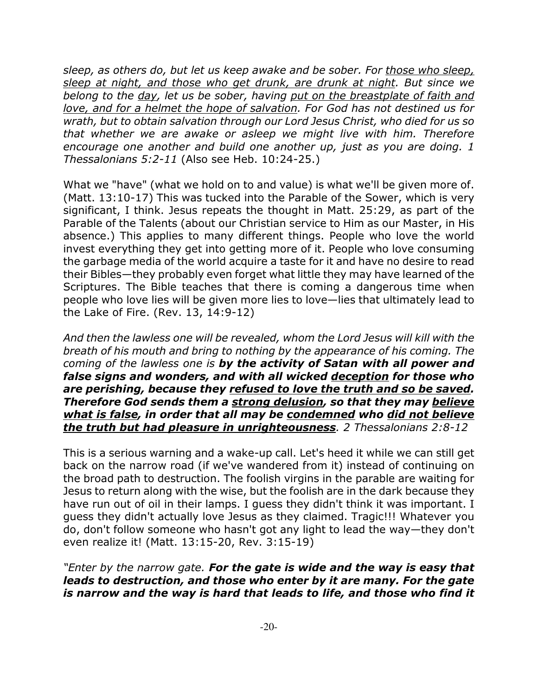*sleep, as others do, but let us keep awake and be sober. For those who sleep, sleep at night, and those who get drunk, are drunk at night. But since we belong to the day, let us be sober, having put on the breastplate of faith and love, and for a helmet the hope of salvation. For God has not destined us for wrath, but to obtain salvation through our Lord Jesus Christ, who died for us so that whether we are awake or asleep we might live with him. Therefore encourage one another and build one another up, just as you are doing. 1 Thessalonians 5:2-11* (Also see Heb. 10:24-25.)

What we "have" (what we hold on to and value) is what we'll be given more of. (Matt. 13:10-17) This was tucked into the Parable of the Sower, which is very significant, I think. Jesus repeats the thought in Matt. 25:29, as part of the Parable of the Talents (about our Christian service to Him as our Master, in His absence.) This applies to many different things. People who love the world invest everything they get into getting more of it. People who love consuming the garbage media of the world acquire a taste for it and have no desire to read their Bibles—they probably even forget what little they may have learned of the Scriptures. The Bible teaches that there is coming a dangerous time when people who love lies will be given more lies to love—lies that ultimately lead to the Lake of Fire. (Rev. 13, 14:9-12)

*And then the lawless one will be revealed, whom the Lord Jesus will kill with the breath of his mouth and bring to nothing by the appearance of his coming. The coming of the lawless one is by the activity of Satan with all power and false signs and wonders, and with all wicked deception for those who are perishing, because they refused to love the truth and so be saved. Therefore God sends them a strong delusion, so that they may believe what is false, in order that all may be condemned who did not believe the truth but had pleasure in unrighteousness. 2 Thessalonians 2:8-12*

This is a serious warning and a wake-up call. Let's heed it while we can still get back on the narrow road (if we've wandered from it) instead of continuing on the broad path to destruction. The foolish virgins in the parable are waiting for Jesus to return along with the wise, but the foolish are in the dark because they have run out of oil in their lamps. I guess they didn't think it was important. I guess they didn't actually love Jesus as they claimed. Tragic!!! Whatever you do, don't follow someone who hasn't got any light to lead the way—they don't even realize it! (Matt. 13:15-20, Rev. 3:15-19)

*"Enter by the narrow gate. For the gate is wide and the way is easy that leads to destruction, and those who enter by it are many. For the gate is narrow and the way is hard that leads to life, and those who find it*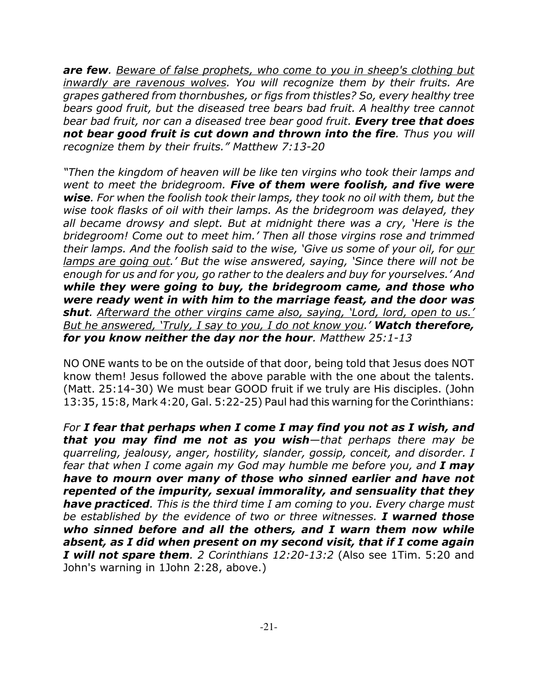*are few. Beware of false prophets, who come to you in sheep's clothing but inwardly are ravenous wolves. You will recognize them by their fruits. Are grapes gathered from thornbushes, or figs from thistles? So, every healthy tree bears good fruit, but the diseased tree bears bad fruit. A healthy tree cannot bear bad fruit, nor can a diseased tree bear good fruit. Every tree that does not bear good fruit is cut down and thrown into the fire. Thus you will recognize them by their fruits." Matthew 7:13-20*

*"Then the kingdom of heaven will be like ten virgins who took their lamps and went to meet the bridegroom. Five of them were foolish, and five were wise. For when the foolish took their lamps, they took no oil with them, but the wise took flasks of oil with their lamps. As the bridegroom was delayed, they all became drowsy and slept. But at midnight there was a cry, 'Here is the bridegroom! Come out to meet him.' Then all those virgins rose and trimmed their lamps. And the foolish said to the wise, 'Give us some of your oil, for our lamps are going out.' But the wise answered, saying, 'Since there will not be enough for us and for you, go rather to the dealers and buy for yourselves.' And while they were going to buy, the bridegroom came, and those who were ready went in with him to the marriage feast, and the door was shut. Afterward the other virgins came also, saying, 'Lord, lord, open to us.' But he answered, 'Truly, I say to you, I do not know you.' Watch therefore, for you know neither the day nor the hour. Matthew 25:1-13*

NO ONE wants to be on the outside of that door, being told that Jesus does NOT know them! Jesus followed the above parable with the one about the talents. (Matt. 25:14-30) We must bear GOOD fruit if we truly are His disciples. (John 13:35, 15:8, Mark 4:20, Gal. 5:22-25) Paul had this warning for the Corinthians:

*For I fear that perhaps when I come I may find you not as I wish, and that you may find me not as you wish—that perhaps there may be quarreling, jealousy, anger, hostility, slander, gossip, conceit, and disorder. I fear that when I come again my God may humble me before you, and I may have to mourn over many of those who sinned earlier and have not repented of the impurity, sexual immorality, and sensuality that they have practiced. This is the third time I am coming to you. Every charge must be established by the evidence of two or three witnesses. I warned those who sinned before and all the others, and I warn them now while absent, as I did when present on my second visit, that if I come again I will not spare them. 2 Corinthians 12:20-13:2* (Also see 1Tim. 5:20 and John's warning in 1John 2:28, above.)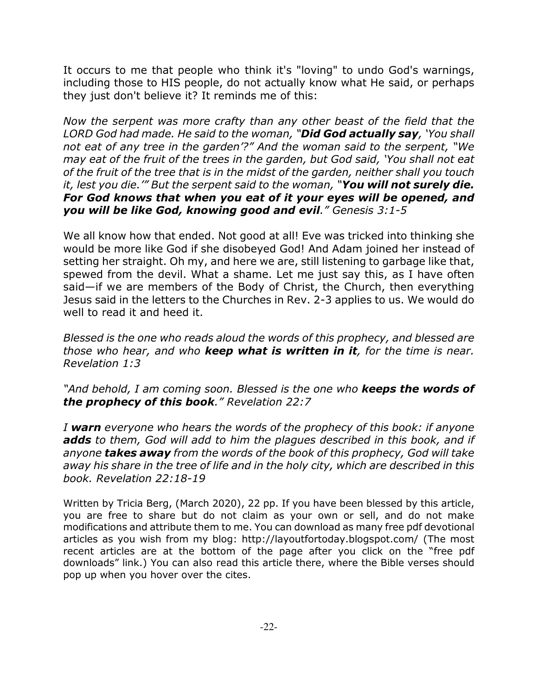It occurs to me that people who think it's "loving" to undo God's warnings, including those to HIS people, do not actually know what He said, or perhaps they just don't believe it? It reminds me of this:

*Now the serpent was more crafty than any other beast of the field that the LORD God had made. He said to the woman, "Did God actually say, 'You shall not eat of any tree in the garden'?" And the woman said to the serpent, "We may eat of the fruit of the trees in the garden, but God said, 'You shall not eat of the fruit of the tree that is in the midst of the garden, neither shall you touch it, lest you die.'" But the serpent said to the woman, "You will not surely die. For God knows that when you eat of it your eyes will be opened, and you will be like God, knowing good and evil." Genesis 3:1-5*

We all know how that ended. Not good at all! Eve was tricked into thinking she would be more like God if she disobeyed God! And Adam joined her instead of setting her straight. Oh my, and here we are, still listening to garbage like that, spewed from the devil. What a shame. Let me just say this, as I have often said—if we are members of the Body of Christ, the Church, then everything Jesus said in the letters to the Churches in Rev. 2-3 applies to us. We would do well to read it and heed it.

*Blessed is the one who reads aloud the words of this prophecy, and blessed are those who hear, and who keep what is written in it, for the time is near. Revelation 1:3*

*"And behold, I am coming soon. Blessed is the one who keeps the words of the prophecy of this book." Revelation 22:7*

*I warn everyone who hears the words of the prophecy of this book: if anyone adds to them, God will add to him the plagues described in this book, and if anyone takes away from the words of the book of this prophecy, God will take away his share in the tree of life and in the holy city, which are described in this book. Revelation 22:18-19*

Written by Tricia Berg, (March 2020), 22 pp. If you have been blessed by this article, you are free to share but do not claim as your own or sell, and do not make modifications and attribute them to me. You can download as many free pdf devotional articles as you wish from my blog: http://layoutfortoday.blogspot.com/ (The most recent articles are at the bottom of the page after you click on the "free pdf downloads" link.) You can also read this article there, where the Bible verses should pop up when you hover over the cites.